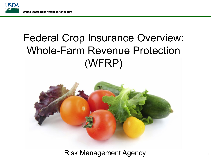

# Federal Crop Insurance Overview: Whole-Farm Revenue Protection (WFRP)



Risk Management Agency <sup>1</sup>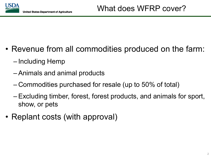

- Revenue from all commodities produced on the farm:
	- Including Hemp
	- Animals and animal products
	- Commodities purchased for resale (up to 50% of total)
	- Excluding timber, forest, forest products, and animals for sport, show, or pets
- Replant costs (with approval)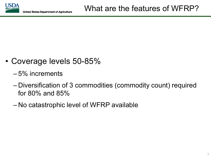

- Coverage levels 50-85%
	- 5% increments
	- Diversification of 3 commodities (commodity count) required for 80% and 85%
	- No catastrophic level of WFRP available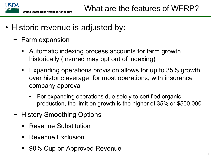

- Historic revenue is adjusted by:
	- − Farm expansion
		- Automatic indexing process accounts for farm growth historically (Insured may opt out of indexing)
		- Expanding operations provision allows for up to 35% growth over historic average, for most operations, with insurance company approval
			- For expanding operations due solely to certified organic production, the limit on growth is the higher of 35% or \$500,000
	- − History Smoothing Options
		- Revenue Substitution
		- Revenue Exclusion
		- 90% Cup on Approved Revenue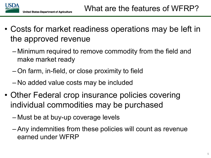

- Costs for market readiness operations may be left in the approved revenue
	- Minimum required to remove commodity from the field and make market ready
	- On farm, in-field, or close proximity to field
	- No added value costs may be included
- Other Federal crop insurance policies covering individual commodities may be purchased
	- Must be at buy-up coverage levels
	- Any indemnities from these policies will count as revenue earned under WFRP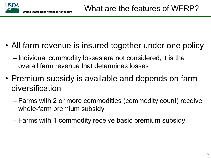

- All farm revenue is insured together under one policy
	- Individual commodity losses are not considered, it is the overall farm revenue that determines losses
- Premium subsidy is available and depends on farm diversification
	- Farms with 2 or more commodities (commodity count) receive whole-farm premium subsidy
	- Farms with 1 commodity receive basic premium subsidy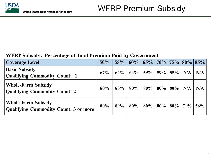#### WFRP Subsidy: Percentage of Total Premium Paid by Government

| <b>Coverage Level</b>                                                     | 50% | 55%    | 60%    | $65\%$   70%   75%   80%   85% |     |        |     |     |
|---------------------------------------------------------------------------|-----|--------|--------|--------------------------------|-----|--------|-----|-----|
| <b>Basic Subsidy</b><br><b>Qualifying Commodity Count: 1</b>              | 67% | $64\%$ | $64\%$ | 59%                            | 59% | 55%    | N/A | N/A |
| <b>Whole-Farm Subsidy</b><br><b>Qualifying Commodity Count: 2</b>         | 80% | 80%    | $80\%$ | 80%                            | 80% | $80\%$ | N/A | N/A |
| <b>Whole-Farm Subsidy</b><br><b>Qualifying Commodity Count: 3 or more</b> | 80% | $80\%$ | $80\%$ | 80%                            | 80% | $80\%$ | 71% | 56% |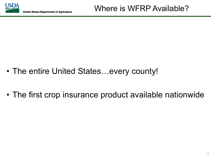

- The entire United States…every county!
- The first crop insurance product available nationwide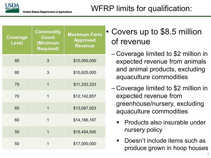| Coverage<br><b>Level</b> | <b>Commodity</b><br><b>Count</b><br>(Minimum<br><b>Required)</b> | <b>Maximum Farm</b><br><b>Approved</b><br><b>Revenue</b> |
|--------------------------|------------------------------------------------------------------|----------------------------------------------------------|
| 85                       | 3                                                                | \$10,000,000                                             |
| 80                       | 3                                                                | \$10,625,000                                             |
| 75                       | $\overline{1}$                                                   | \$11,333,333                                             |
| 70                       | $\overline{1}$                                                   | \$12,142,857                                             |
| 65                       | $\overline{1}$                                                   | \$13,067,923                                             |
| 60                       | 1                                                                | \$14,166,167                                             |
| 55                       | $\overline{1}$                                                   | \$15,454,545                                             |
| 50                       | 1                                                                | \$17,000,000                                             |

# Covers up to \$8.5 million of revenue

- Coverage limited to \$2 million in expected revenue from animals and animal products, excluding aquaculture commodities
- Coverage limited to \$2 million in expected revenue from greenhouse/nursery, excluding aquaculture commodities
	- Products also insurable under nursery policy
	- Doesn't include items such as produce grown in hoop houses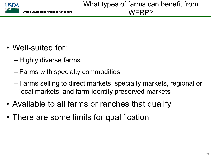

- Well-suited for:
	- Highly diverse farms
	- Farms with specialty commodities
	- Farms selling to direct markets, specialty markets, regional or local markets, and farm-identity preserved markets
- Available to all farms or ranches that qualify
- There are some limits for qualification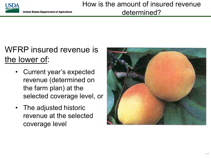

# WFRP insured revenue is the lower of:

- Current year's expected revenue (determined on the farm plan) at the selected coverage level, or
- The adjusted historic revenue at the selected coverage level

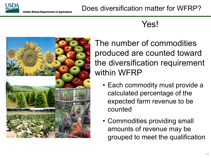

## Yes!



The number of commodities produced are counted toward the diversification requirement within WFRP

- Each commodity must provide a calculated percentage of the expected farm revenue to be counted
- Commodities providing small amounts of revenue may be grouped to meet the qualification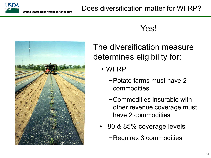### Yes!



The diversification measure determines eligibility for:

- WFRP
	- −Potato farms must have 2 commodities
	- −Commodities insurable with other revenue coverage must have 2 commodities
- 80 & 85% coverage levels
	- −Requires 3 commodities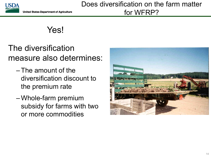

Yes!

The diversification measure also determines:

- The amount of the diversification discount to the premium rate
- Whole-farm premium subsidy for farms with two or more commodities

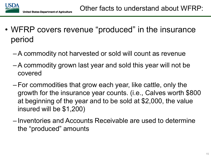

- WFRP covers revenue "produced" in the insurance period
	- –A commodity not harvested or sold will count as revenue
	- –A commodity grown last year and sold this year will not be covered
	- For commodities that grow each year, like cattle, only the growth for the insurance year counts. (i.e., Calves worth \$800 at beginning of the year and to be sold at \$2,000, the value insured will be \$1,200)
	- Inventories and Accounts Receivable are used to determine the "produced" amounts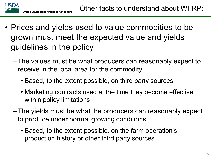

- Prices and yields used to value commodities to be grown must meet the expected value and yields guidelines in the policy
	- The values must be what producers can reasonably expect to receive in the local area for the commodity
		- Based, to the extent possible, on third party sources
		- Marketing contracts used at the time they become effective within policy limitations
	- The yields must be what the producers can reasonably expect to produce under normal growing conditions
		- Based, to the extent possible, on the farm operation's production history or other third party sources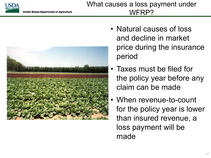



- Natural causes of loss and decline in market price during the insurance period
- Taxes must be filed for the policy year before any claim can be made
- When revenue-to-count for the policy year is lower than insured revenue, a loss payment will be made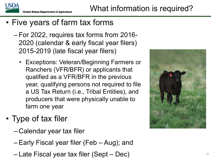

- Five years of farm tax forms
	- For 2022, requires tax forms from 2016- 2020 (calendar & early fiscal year filers) 2015-2019 (late fiscal year filers)
		- Exceptions: Veteran/Beginning Farmers or Ranchers (VFR/BFR) or applicants that qualified as a VFR/BFR in the previous year, qualifying persons not required to file a US Tax Return (i.e., Tribal Entities), and producers that were physically unable to farm one year
- Type of tax filer
	- Calendar year tax filer
	- Early Fiscal year filer (Feb Aug); and
	- Late Fiscal year tax filer (Sept Dec) <sup>18</sup>

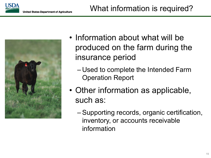



- Information about what will be produced on the farm during the insurance period
	- Used to complete the Intended Farm Operation Report
- Other information as applicable, such as:
	- Supporting records, organic certification, inventory, or accounts receivable information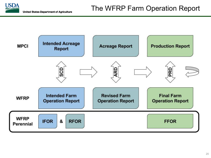

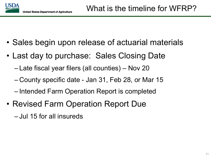

- Sales begin upon release of actuarial materials
- Last day to purchase: Sales Closing Date
	- Late fiscal year filers (all counties) Nov 20
	- County specific date Jan 31, Feb 28, or Mar 15
	- Intended Farm Operation Report is completed
- Revised Farm Operation Report Due
	- Jul 15 for all insureds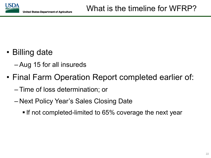

- Billing date
	- Aug 15 for all insureds
- Final Farm Operation Report completed earlier of:
	- Time of loss determination; or
	- Next Policy Year's Sales Closing Date
		- If not completed-limited to 65% coverage the next year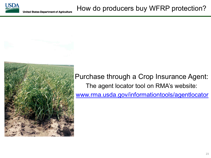



Purchase through a Crop Insurance Agent: The agent locator tool on RMA's website: [www.rma.usda.gov/informationtools/agentlocator](https://www.rma.usda.gov/informationtools/agentlocator)